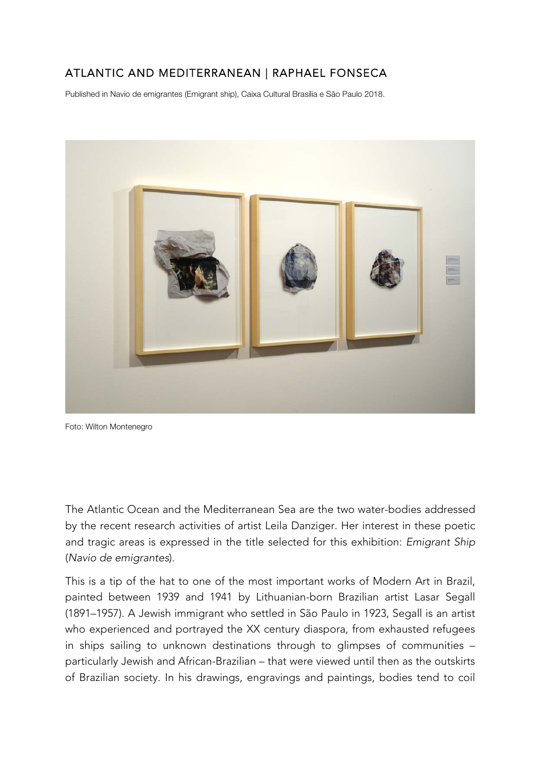## ATLANTIC AND MEDITERRANEAN | RAPHAEL FONSECA

Published in Navio de emigrantes (Emigrant ship), Caixa Cultural Brasília e São Paulo 2018.



Foto: Wilton Montenegro

The Atlantic Ocean and the Mediterranean Sea are the two water-bodies addressed by the recent research activities of artist Leila Danziger. Her interest in these poetic and tragic areas is expressed in the title selected for this exhibition: *Emigrant Ship* (*Navio de emigrantes*).

This is a tip of the hat to one of the most important works of Modern Art in Brazil, painted between 1939 and 1941 by Lithuanian-born Brazilian artist Lasar Segall (1891–1957). A Jewish immigrant who settled in São Paulo in 1923, Segall is an artist who experienced and portrayed the XX century diaspora, from exhausted refugees in ships sailing to unknown destinations through to glimpses of communities – particularly Jewish and African-Brazilian – that were viewed until then as the outskirts of Brazilian society. In his drawings, engravings and paintings, bodies tend to coil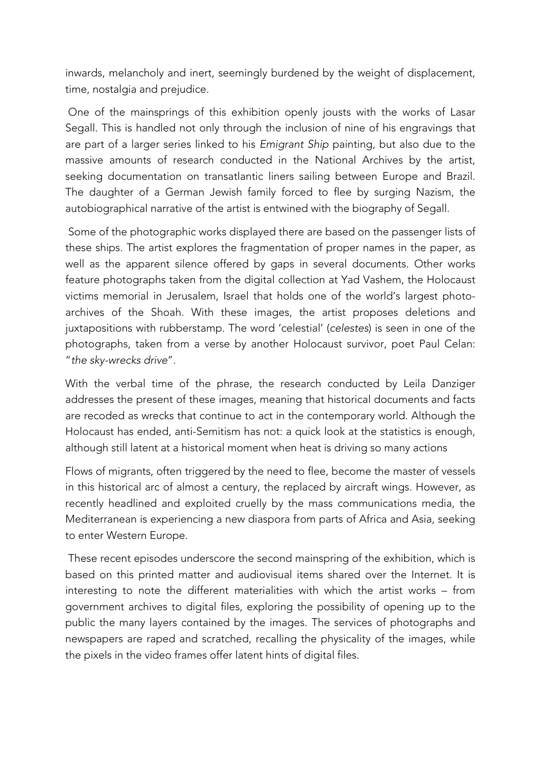inwards, melancholy and inert, seemingly burdened by the weight of displacement, time, nostalgia and prejudice.

 One of the mainsprings of this exhibition openly jousts with the works of Lasar Segall. This is handled not only through the inclusion of nine of his engravings that are part of a larger series linked to his *Emigrant Ship* painting, but also due to the massive amounts of research conducted in the National Archives by the artist, seeking documentation on transatlantic liners sailing between Europe and Brazil. The daughter of a German Jewish family forced to flee by surging Nazism, the autobiographical narrative of the artist is entwined with the biography of Segall.

 Some of the photographic works displayed there are based on the passenger lists of these ships. The artist explores the fragmentation of proper names in the paper, as well as the apparent silence offered by gaps in several documents. Other works feature photographs taken from the digital collection at Yad Vashem, the Holocaust victims memorial in Jerusalem, Israel that holds one of the world's largest photoarchives of the Shoah. With these images, the artist proposes deletions and juxtapositions with rubberstamp. The word 'celestial' (*celestes*) is seen in one of the photographs, taken from a verse by another Holocaust survivor, poet Paul Celan: "*the sky-wrecks drive*".

With the verbal time of the phrase, the research conducted by Leila Danziger addresses the present of these images, meaning that historical documents and facts are recoded as wrecks that continue to act in the contemporary world. Although the Holocaust has ended, anti-Semitism has not: a quick look at the statistics is enough, although still latent at a historical moment when heat is driving so many actions

Flows of migrants, often triggered by the need to flee, become the master of vessels in this historical arc of almost a century, the replaced by aircraft wings. However, as recently headlined and exploited cruelly by the mass communications media, the Mediterranean is experiencing a new diaspora from parts of Africa and Asia, seeking to enter Western Europe.

 These recent episodes underscore the second mainspring of the exhibition, which is based on this printed matter and audiovisual items shared over the Internet. It is interesting to note the different materialities with which the artist works – from government archives to digital files, exploring the possibility of opening up to the public the many layers contained by the images. The services of photographs and newspapers are raped and scratched, recalling the physicality of the images, while the pixels in the video frames offer latent hints of digital files.